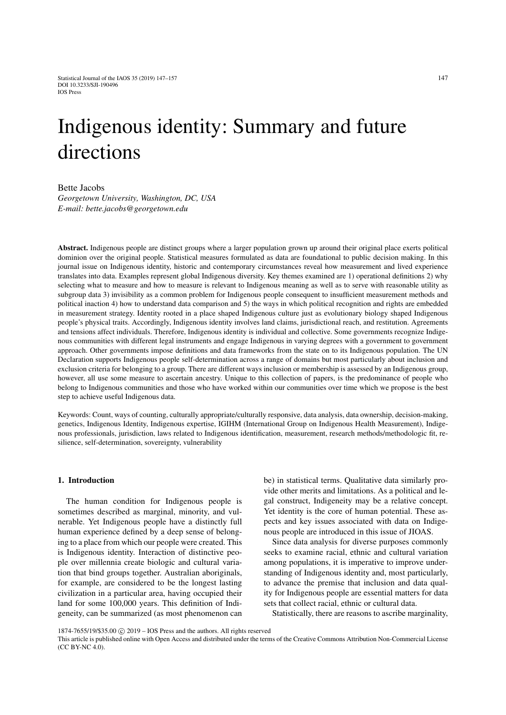# Indigenous identity: Summary and future directions

Bette Jacobs

*Georgetown University, Washington, DC, USA E-mail: bette.jacobs@georgetown.edu*

Abstract. Indigenous people are distinct groups where a larger population grown up around their original place exerts political dominion over the original people. Statistical measures formulated as data are foundational to public decision making. In this journal issue on Indigenous identity, historic and contemporary circumstances reveal how measurement and lived experience translates into data. Examples represent global Indigenous diversity. Key themes examined are 1) operational definitions 2) why selecting what to measure and how to measure is relevant to Indigenous meaning as well as to serve with reasonable utility as subgroup data 3) invisibility as a common problem for Indigenous people consequent to insufficient measurement methods and political inaction 4) how to understand data comparison and 5) the ways in which political recognition and rights are embedded in measurement strategy. Identity rooted in a place shaped Indigenous culture just as evolutionary biology shaped Indigenous people's physical traits. Accordingly, Indigenous identity involves land claims, jurisdictional reach, and restitution. Agreements and tensions affect individuals. Therefore, Indigenous identity is individual and collective. Some governments recognize Indigenous communities with different legal instruments and engage Indigenous in varying degrees with a government to government approach. Other governments impose definitions and data frameworks from the state on to its Indigenous population. The UN Declaration supports Indigenous people self-determination across a range of domains but most particularly about inclusion and exclusion criteria for belonging to a group. There are different ways inclusion or membership is assessed by an Indigenous group, however, all use some measure to ascertain ancestry. Unique to this collection of papers, is the predominance of people who belong to Indigenous communities and those who have worked within our communities over time which we propose is the best step to achieve useful Indigenous data.

Keywords: Count, ways of counting, culturally appropriate/culturally responsive, data analysis, data ownership, decision-making, genetics, Indigenous Identity, Indigenous expertise, IGIHM (International Group on Indigenous Health Measurement), Indigenous professionals, jurisdiction, laws related to Indigenous identification, measurement, research methods/methodologic fit, resilience, self-determination, sovereignty, vulnerability

## 1. Introduction

The human condition for Indigenous people is sometimes described as marginal, minority, and vulnerable. Yet Indigenous people have a distinctly full human experience defined by a deep sense of belonging to a place from which our people were created. This is Indigenous identity. Interaction of distinctive people over millennia create biologic and cultural variation that bind groups together. Australian aboriginals, for example, are considered to be the longest lasting civilization in a particular area, having occupied their land for some 100,000 years. This definition of Indigeneity, can be summarized (as most phenomenon can be) in statistical terms. Qualitative data similarly provide other merits and limitations. As a political and legal construct, Indigeneity may be a relative concept. Yet identity is the core of human potential. These aspects and key issues associated with data on Indigenous people are introduced in this issue of JIOAS.

Since data analysis for diverse purposes commonly seeks to examine racial, ethnic and cultural variation among populations, it is imperative to improve understanding of Indigenous identity and, most particularly, to advance the premise that inclusion and data quality for Indigenous people are essential matters for data sets that collect racial, ethnic or cultural data.

Statistically, there are reasons to ascribe marginality,

<sup>1874-7655/19/\$35.00</sup> C 2019 – IOS Press and the authors. All rights reserved

This article is published online with Open Access and distributed under the terms of the Creative Commons Attribution Non-Commercial License (CC BY-NC 4.0).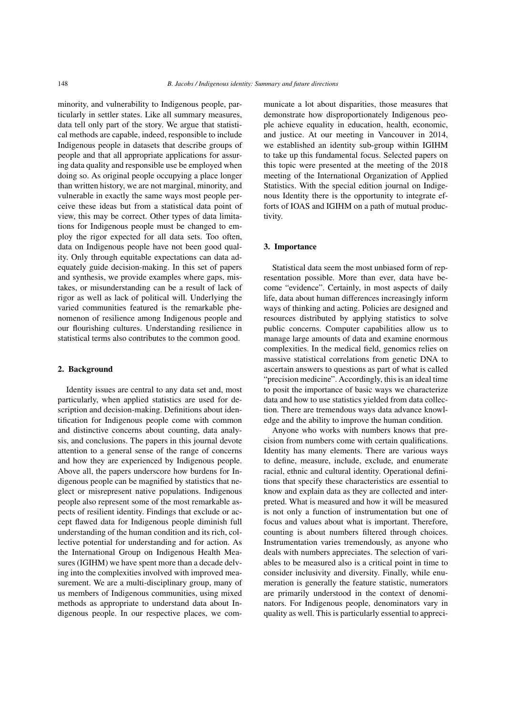minority, and vulnerability to Indigenous people, particularly in settler states. Like all summary measures, data tell only part of the story. We argue that statistical methods are capable, indeed, responsible to include Indigenous people in datasets that describe groups of people and that all appropriate applications for assuring data quality and responsible use be employed when doing so. As original people occupying a place longer than written history, we are not marginal, minority, and vulnerable in exactly the same ways most people perceive these ideas but from a statistical data point of view, this may be correct. Other types of data limitations for Indigenous people must be changed to employ the rigor expected for all data sets. Too often, data on Indigenous people have not been good quality. Only through equitable expectations can data adequately guide decision-making. In this set of papers and synthesis, we provide examples where gaps, mistakes, or misunderstanding can be a result of lack of rigor as well as lack of political will. Underlying the varied communities featured is the remarkable phenomenon of resilience among Indigenous people and our flourishing cultures. Understanding resilience in statistical terms also contributes to the common good.

#### 2. Background

Identity issues are central to any data set and, most particularly, when applied statistics are used for description and decision-making. Definitions about identification for Indigenous people come with common and distinctive concerns about counting, data analysis, and conclusions. The papers in this journal devote attention to a general sense of the range of concerns and how they are experienced by Indigenous people. Above all, the papers underscore how burdens for Indigenous people can be magnified by statistics that neglect or misrepresent native populations. Indigenous people also represent some of the most remarkable aspects of resilient identity. Findings that exclude or accept flawed data for Indigenous people diminish full understanding of the human condition and its rich, collective potential for understanding and for action. As the International Group on Indigenous Health Measures (IGIHM) we have spent more than a decade delving into the complexities involved with improved measurement. We are a multi-disciplinary group, many of us members of Indigenous communities, using mixed methods as appropriate to understand data about Indigenous people. In our respective places, we communicate a lot about disparities, those measures that demonstrate how disproportionately Indigenous people achieve equality in education, health, economic, and justice. At our meeting in Vancouver in 2014, we established an identity sub-group within IGIHM to take up this fundamental focus. Selected papers on this topic were presented at the meeting of the 2018 meeting of the International Organization of Applied Statistics. With the special edition journal on Indigenous Identity there is the opportunity to integrate efforts of IOAS and IGIHM on a path of mutual productivity.

## 3. Importance

Statistical data seem the most unbiased form of representation possible. More than ever, data have become "evidence". Certainly, in most aspects of daily life, data about human differences increasingly inform ways of thinking and acting. Policies are designed and resources distributed by applying statistics to solve public concerns. Computer capabilities allow us to manage large amounts of data and examine enormous complexities. In the medical field, genomics relies on massive statistical correlations from genetic DNA to ascertain answers to questions as part of what is called "precision medicine". Accordingly, this is an ideal time to posit the importance of basic ways we characterize data and how to use statistics yielded from data collection. There are tremendous ways data advance knowledge and the ability to improve the human condition.

Anyone who works with numbers knows that precision from numbers come with certain qualifications. Identity has many elements. There are various ways to define, measure, include, exclude, and enumerate racial, ethnic and cultural identity. Operational definitions that specify these characteristics are essential to know and explain data as they are collected and interpreted. What is measured and how it will be measured is not only a function of instrumentation but one of focus and values about what is important. Therefore, counting is about numbers filtered through choices. Instrumentation varies tremendously, as anyone who deals with numbers appreciates. The selection of variables to be measured also is a critical point in time to consider inclusivity and diversity. Finally, while enumeration is generally the feature statistic, numerators are primarily understood in the context of denominators. For Indigenous people, denominators vary in quality as well. This is particularly essential to appreci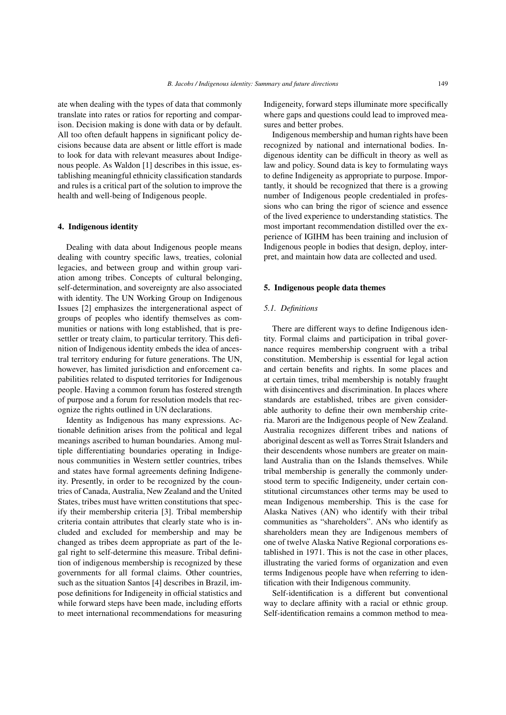ate when dealing with the types of data that commonly translate into rates or ratios for reporting and comparison. Decision making is done with data or by default. All too often default happens in significant policy decisions because data are absent or little effort is made to look for data with relevant measures about Indigenous people. As Waldon [\[1\]](#page-9-0) describes in this issue, establishing meaningful ethnicity classification standards and rules is a critical part of the solution to improve the health and well-being of Indigenous people.

#### 4. Indigenous identity

Dealing with data about Indigenous people means dealing with country specific laws, treaties, colonial legacies, and between group and within group variation among tribes. Concepts of cultural belonging, self-determination, and sovereignty are also associated with identity. The UN Working Group on Indigenous Issues [\[2\]](#page-9-1) emphasizes the intergenerational aspect of groups of peoples who identify themselves as communities or nations with long established, that is presettler or treaty claim, to particular territory. This definition of Indigenous identity embeds the idea of ancestral territory enduring for future generations. The UN, however, has limited jurisdiction and enforcement capabilities related to disputed territories for Indigenous people. Having a common forum has fostered strength of purpose and a forum for resolution models that recognize the rights outlined in UN declarations.

Identity as Indigenous has many expressions. Actionable definition arises from the political and legal meanings ascribed to human boundaries. Among multiple differentiating boundaries operating in Indigenous communities in Western settler countries, tribes and states have formal agreements defining Indigeneity. Presently, in order to be recognized by the countries of Canada, Australia, New Zealand and the United States, tribes must have written constitutions that specify their membership criteria [\[3\]](#page-9-2). Tribal membership criteria contain attributes that clearly state who is included and excluded for membership and may be changed as tribes deem appropriate as part of the legal right to self-determine this measure. Tribal definition of indigenous membership is recognized by these governments for all formal claims. Other countries, such as the situation Santos [\[4\]](#page-9-3) describes in Brazil, impose definitions for Indigeneity in official statistics and while forward steps have been made, including efforts to meet international recommendations for measuring Indigeneity, forward steps illuminate more specifically where gaps and questions could lead to improved measures and better probes.

Indigenous membership and human rights have been recognized by national and international bodies. Indigenous identity can be difficult in theory as well as law and policy. Sound data is key to formulating ways to define Indigeneity as appropriate to purpose. Importantly, it should be recognized that there is a growing number of Indigenous people credentialed in professions who can bring the rigor of science and essence of the lived experience to understanding statistics. The most important recommendation distilled over the experience of IGIHM has been training and inclusion of Indigenous people in bodies that design, deploy, interpret, and maintain how data are collected and used.

## 5. Indigenous people data themes

## *5.1. Definitions*

There are different ways to define Indigenous identity. Formal claims and participation in tribal governance requires membership congruent with a tribal constitution. Membership is essential for legal action and certain benefits and rights. In some places and at certain times, tribal membership is notably fraught with disincentives and discrimination. In places where standards are established, tribes are given considerable authority to define their own membership criteria. Marori are the Indigenous people of New Zealand. Australia recognizes different tribes and nations of aboriginal descent as well as Torres Strait Islanders and their descendents whose numbers are greater on mainland Australia than on the Islands themselves. While tribal membership is generally the commonly understood term to specific Indigeneity, under certain constitutional circumstances other terms may be used to mean Indigenous membership. This is the case for Alaska Natives (AN) who identify with their tribal communities as "shareholders". ANs who identify as shareholders mean they are Indigenous members of one of twelve Alaska Native Regional corporations established in 1971. This is not the case in other places, illustrating the varied forms of organization and even terms Indigenous people have when referring to identification with their Indigenous community.

Self-identification is a different but conventional way to declare affinity with a racial or ethnic group. Self-identification remains a common method to mea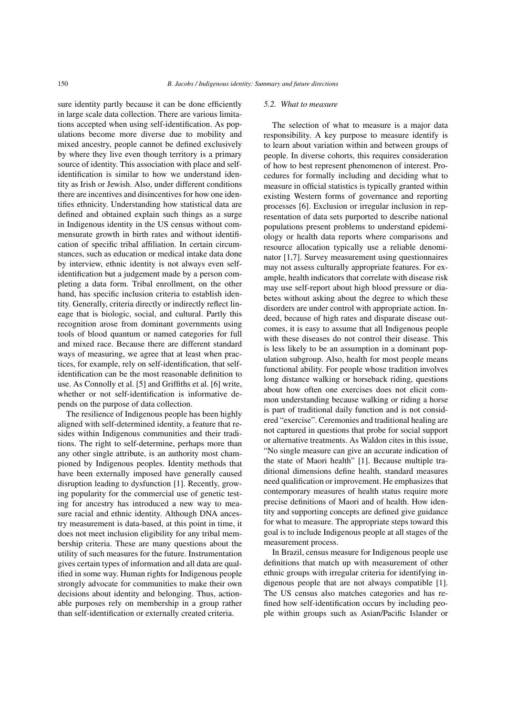sure identity partly because it can be done efficiently in large scale data collection. There are various limitations accepted when using self-identification. As populations become more diverse due to mobility and mixed ancestry, people cannot be defined exclusively by where they live even though territory is a primary source of identity. This association with place and selfidentification is similar to how we understand identity as Irish or Jewish. Also, under different conditions there are incentives and disincentives for how one identifies ethnicity. Understanding how statistical data are defined and obtained explain such things as a surge in Indigenous identity in the US census without commensurate growth in birth rates and without identification of specific tribal affiliation. In certain circumstances, such as education or medical intake data done by interview, ethnic identity is not always even selfidentification but a judgement made by a person completing a data form. Tribal enrollment, on the other hand, has specific inclusion criteria to establish identity. Generally, criteria directly or indirectly reflect lineage that is biologic, social, and cultural. Partly this recognition arose from dominant governments using tools of blood quantum or named categories for full and mixed race. Because there are different standard ways of measuring, we agree that at least when practices, for example, rely on self-identification, that selfidentification can be the most reasonable definition to use. As Connolly et al. [\[5\]](#page-9-4) and Griffiths et al. [\[6\]](#page-10-0) write, whether or not self-identification is informative depends on the purpose of data collection.

The resilience of Indigenous people has been highly aligned with self-determined identity, a feature that resides within Indigenous communities and their traditions. The right to self-determine, perhaps more than any other single attribute, is an authority most championed by Indigenous peoples. Identity methods that have been externally imposed have generally caused disruption leading to dysfunction [\[1\]](#page-9-0). Recently, growing popularity for the commercial use of genetic testing for ancestry has introduced a new way to measure racial and ethnic identity. Although DNA ancestry measurement is data-based, at this point in time, it does not meet inclusion eligibility for any tribal membership criteria. These are many questions about the utility of such measures for the future. Instrumentation gives certain types of information and all data are qualified in some way. Human rights for Indigenous people strongly advocate for communities to make their own decisions about identity and belonging. Thus, actionable purposes rely on membership in a group rather than self-identification or externally created criteria.

#### *5.2. What to measure*

The selection of what to measure is a major data responsibility. A key purpose to measure identify is to learn about variation within and between groups of people. In diverse cohorts, this requires consideration of how to best represent phenomenon of interest. Procedures for formally including and deciding what to measure in official statistics is typically granted within existing Western forms of governance and reporting processes [\[6\]](#page-10-0). Exclusion or irregular inclusion in representation of data sets purported to describe national populations present problems to understand epidemiology or health data reports where comparisons and resource allocation typically use a reliable denominator [\[1,](#page-9-0)[7\]](#page-10-1). Survey measurement using questionnaires may not assess culturally appropriate features. For example, health indicators that correlate with disease risk may use self-report about high blood pressure or diabetes without asking about the degree to which these disorders are under control with appropriate action. Indeed, because of high rates and disparate disease outcomes, it is easy to assume that all Indigenous people with these diseases do not control their disease. This is less likely to be an assumption in a dominant population subgroup. Also, health for most people means functional ability. For people whose tradition involves long distance walking or horseback riding, questions about how often one exercises does not elicit common understanding because walking or riding a horse is part of traditional daily function and is not considered "exercise". Ceremonies and traditional healing are not captured in questions that probe for social support or alternative treatments. As Waldon cites in this issue, "No single measure can give an accurate indication of the state of Maori health" [\[1\]](#page-9-0). Because multiple traditional dimensions define health, standard measures need qualification or improvement. He emphasizes that contemporary measures of health status require more precise definitions of Maori and of health. How identity and supporting concepts are defined give guidance for what to measure. The appropriate steps toward this goal is to include Indigenous people at all stages of the measurement process.

In Brazil, census measure for Indigenous people use definitions that match up with measurement of other ethnic groups with irregular criteria for identifying indigenous people that are not always compatible [\[1\]](#page-9-0). The US census also matches categories and has refined how self-identification occurs by including people within groups such as Asian/Pacific Islander or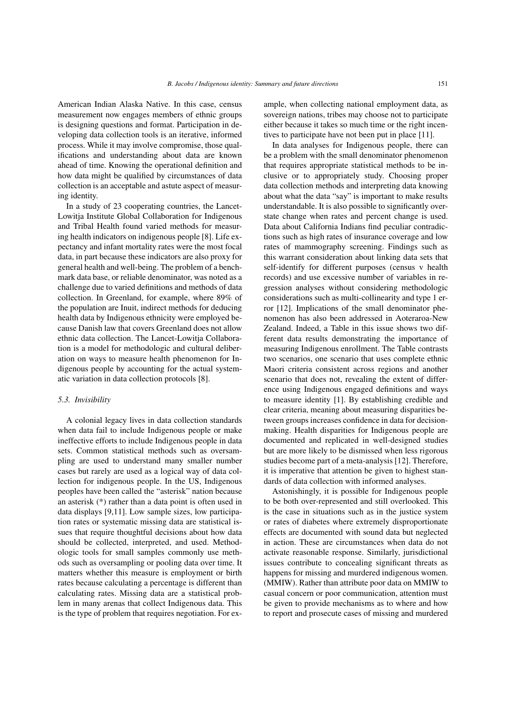American Indian Alaska Native. In this case, census measurement now engages members of ethnic groups is designing questions and format. Participation in developing data collection tools is an iterative, informed process. While it may involve compromise, those qualifications and understanding about data are known ahead of time. Knowing the operational definition and how data might be qualified by circumstances of data collection is an acceptable and astute aspect of measuring identity.

In a study of 23 cooperating countries, the Lancet-Lowitja Institute Global Collaboration for Indigenous and Tribal Health found varied methods for measuring health indicators on indigenous people [\[8\]](#page-10-2). Life expectancy and infant mortality rates were the most focal data, in part because these indicators are also proxy for general health and well-being. The problem of a benchmark data base, or reliable denominator, was noted as a challenge due to varied definitions and methods of data collection. In Greenland, for example, where 89% of the population are Inuit, indirect methods for deducing health data by Indigenous ethnicity were employed because Danish law that covers Greenland does not allow ethnic data collection. The Lancet-Lowitja Collaboration is a model for methodologic and cultural deliberation on ways to measure health phenomenon for Indigenous people by accounting for the actual systematic variation in data collection protocols [\[8\]](#page-10-2).

#### *5.3. Invisibility*

A colonial legacy lives in data collection standards when data fail to include Indigenous people or make ineffective efforts to include Indigenous people in data sets. Common statistical methods such as oversampling are used to understand many smaller number cases but rarely are used as a logical way of data collection for indigenous people. In the US, Indigenous peoples have been called the "asterisk" nation because an asterisk (\*) rather than a data point is often used in data displays [\[9](#page-10-3)[,11\]](#page-10-4). Low sample sizes, low participation rates or systematic missing data are statistical issues that require thoughtful decisions about how data should be collected, interpreted, and used. Methodologic tools for small samples commonly use methods such as oversampling or pooling data over time. It matters whether this measure is employment or birth rates because calculating a percentage is different than calculating rates. Missing data are a statistical problem in many arenas that collect Indigenous data. This is the type of problem that requires negotiation. For example, when collecting national employment data, as sovereign nations, tribes may choose not to participate either because it takes so much time or the right incentives to participate have not been put in place [\[11\]](#page-10-4).

In data analyses for Indigenous people, there can be a problem with the small denominator phenomenon that requires appropriate statistical methods to be inclusive or to appropriately study. Choosing proper data collection methods and interpreting data knowing about what the data "say" is important to make results understandable. It is also possible to significantly overstate change when rates and percent change is used. Data about California Indians find peculiar contradictions such as high rates of insurance coverage and low rates of mammography screening. Findings such as this warrant consideration about linking data sets that self-identify for different purposes (census v health records) and use excessive number of variables in regression analyses without considering methodologic considerations such as multi-collinearity and type 1 error [\[12\]](#page-10-5). Implications of the small denominator phenomenon has also been addressed in Aoteraroa-New Zealand. Indeed, a Table in this issue shows two different data results demonstrating the importance of measuring Indigenous enrollment. The Table contrasts two scenarios, one scenario that uses complete ethnic Maori criteria consistent across regions and another scenario that does not, revealing the extent of difference using Indigenous engaged definitions and ways to measure identity [\[1\]](#page-9-0). By establishing credible and clear criteria, meaning about measuring disparities between groups increases confidence in data for decisionmaking. Health disparities for Indigenous people are documented and replicated in well-designed studies but are more likely to be dismissed when less rigorous studies become part of a meta-analysis [\[12\]](#page-10-5). Therefore, it is imperative that attention be given to highest standards of data collection with informed analyses.

Astonishingly, it is possible for Indigenous people to be both over-represented and still overlooked. This is the case in situations such as in the justice system or rates of diabetes where extremely disproportionate effects are documented with sound data but neglected in action. These are circumstances when data do not activate reasonable response. Similarly, jurisdictional issues contribute to concealing significant threats as happens for missing and murdered indigenous women. (MMIW). Rather than attribute poor data on MMIW to casual concern or poor communication, attention must be given to provide mechanisms as to where and how to report and prosecute cases of missing and murdered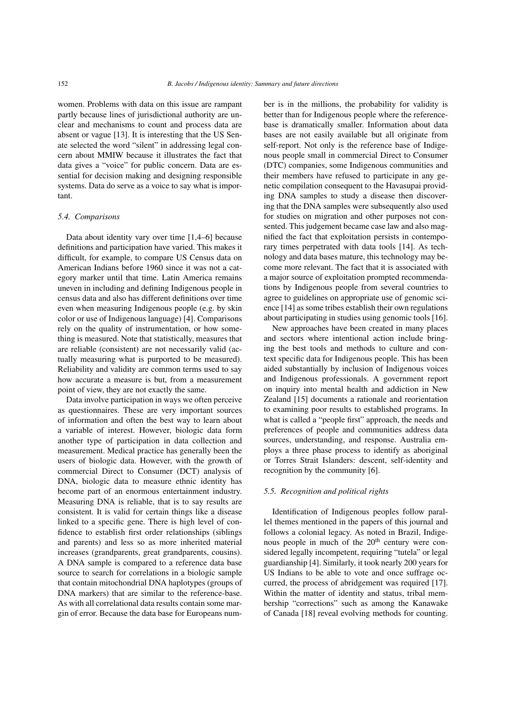women. Problems with data on this issue are rampant partly because lines of jurisdictional authority are unclear and mechanisms to count and process data are absent or vague [\[13\]](#page-10-6). It is interesting that the US Senate selected the word "silent" in addressing legal concern about MMIW because it illustrates the fact that data gives a "voice" for public concern. Data are essential for decision making and designing responsible systems. Data do serve as a voice to say what is important.

## *5.4. Comparisons*

Data about identity vary over time [\[1](#page-9-0)[,4–](#page-9-3)[6\]](#page-10-0) because definitions and participation have varied. This makes it difficult, for example, to compare US Census data on American Indians before 1960 since it was not a category marker until that time. Latin America remains uneven in including and defining Indigenous people in census data and also has different definitions over time even when measuring Indigenous people (e.g. by skin color or use of Indigenous language) [\[4\]](#page-9-3). Comparisons rely on the quality of instrumentation, or how something is measured. Note that statistically, measures that are reliable (consistent) are not necessarily valid (actually measuring what is purported to be measured). Reliability and validity are common terms used to say how accurate a measure is but, from a measurement point of view, they are not exactly the same.

Data involve participation in ways we often perceive as questionnaires. These are very important sources of information and often the best way to learn about a variable of interest. However, biologic data form another type of participation in data collection and measurement. Medical practice has generally been the users of biologic data. However, with the growth of commercial Direct to Consumer (DCT) analysis of DNA, biologic data to measure ethnic identity has become part of an enormous entertainment industry. Measuring DNA is reliable, that is to say results are consistent. It is valid for certain things like a disease linked to a specific gene. There is high level of confidence to establish first order relationships (siblings and parents) and less so as more inherited material increases (grandparents, great grandparents, cousins). A DNA sample is compared to a reference data base source to search for correlations in a biologic sample that contain mitochondrial DNA haplotypes (groups of DNA markers) that are similar to the reference-base. As with all correlational data results contain some margin of error. Because the data base for Europeans number is in the millions, the probability for validity is better than for Indigenous people where the referencebase is dramatically smaller. Information about data bases are not easily available but all originate from self-report. Not only is the reference base of Indigenous people small in commercial Direct to Consumer (DTC) companies, some Indigenous communities and their members have refused to participate in any genetic compilation consequent to the Havasupai providing DNA samples to study a disease then discovering that the DNA samples were subsequently also used for studies on migration and other purposes not consented. This judgement became case law and also magnified the fact that exploitation persists in contemporary times perpetrated with data tools [\[14\]](#page-10-7). As technology and data bases mature, this technology may become more relevant. The fact that it is associated with a major source of exploitation prompted recommendations by Indigenous people from several countries to agree to guidelines on appropriate use of genomic science [\[14\]](#page-10-7) as some tribes establish their own regulations about participating in studies using genomic tools [\[16\]](#page-10-8).

New approaches have been created in many places and sectors where intentional action include bringing the best tools and methods to culture and context specific data for Indigenous people. This has been aided substantially by inclusion of Indigenous voices and Indigenous professionals. A government report on inquiry into mental health and addiction in New Zealand [\[15\]](#page-10-9) documents a rationale and reorientation to examining poor results to established programs. In what is called a "people first" approach, the needs and preferences of people and communities address data sources, understanding, and response. Australia employs a three phase process to identify as aboriginal or Torres Strait Islanders: descent, self-identity and recognition by the community [\[6\]](#page-10-0).

## *5.5. Recognition and political rights*

Identification of Indigenous peoples follow parallel themes mentioned in the papers of this journal and follows a colonial legacy. As noted in Brazil, Indigenous people in much of the 20<sup>th</sup> century were considered legally incompetent, requiring "tutela" or legal guardianship [\[4\]](#page-9-3). Similarly, it took nearly 200 years for US Indians to be able to vote and once suffrage occurred, the process of abridgement was required [\[17\]](#page-10-10). Within the matter of identity and status, tribal membership "corrections" such as among the Kanawake of Canada [\[18\]](#page-10-11) reveal evolving methods for counting.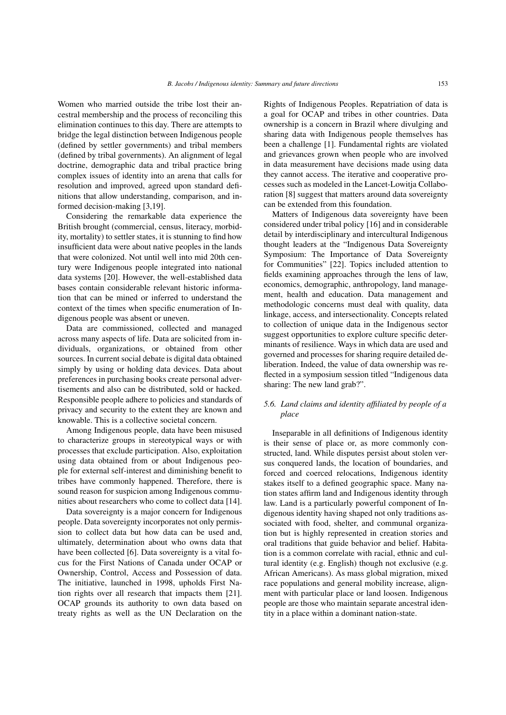Women who married outside the tribe lost their ancestral membership and the process of reconciling this elimination continues to this day. There are attempts to bridge the legal distinction between Indigenous people (defined by settler governments) and tribal members (defined by tribal governments). An alignment of legal doctrine, demographic data and tribal practice bring complex issues of identity into an arena that calls for resolution and improved, agreed upon standard definitions that allow understanding, comparison, and informed decision-making [\[3](#page-9-2)[,19\]](#page-10-12).

Considering the remarkable data experience the British brought (commercial, census, literacy, morbidity, mortality) to settler states, it is stunning to find how insufficient data were about native peoples in the lands that were colonized. Not until well into mid 20th century were Indigenous people integrated into national data systems [\[20\]](#page-10-13). However, the well-established data bases contain considerable relevant historic information that can be mined or inferred to understand the context of the times when specific enumeration of Indigenous people was absent or uneven.

Data are commissioned, collected and managed across many aspects of life. Data are solicited from individuals, organizations, or obtained from other sources. In current social debate is digital data obtained simply by using or holding data devices. Data about preferences in purchasing books create personal advertisements and also can be distributed, sold or hacked. Responsible people adhere to policies and standards of privacy and security to the extent they are known and knowable. This is a collective societal concern.

Among Indigenous people, data have been misused to characterize groups in stereotypical ways or with processes that exclude participation. Also, exploitation using data obtained from or about Indigenous people for external self-interest and diminishing benefit to tribes have commonly happened. Therefore, there is sound reason for suspicion among Indigenous communities about researchers who come to collect data [\[14\]](#page-10-7).

Data sovereignty is a major concern for Indigenous people. Data sovereignty incorporates not only permission to collect data but how data can be used and, ultimately, determination about who owns data that have been collected [\[6\]](#page-10-0). Data sovereignty is a vital focus for the First Nations of Canada under OCAP or Ownership, Control, Access and Possession of data. The initiative, launched in 1998, upholds First Nation rights over all research that impacts them [\[21\]](#page-10-14). OCAP grounds its authority to own data based on treaty rights as well as the UN Declaration on the Rights of Indigenous Peoples. Repatriation of data is a goal for OCAP and tribes in other countries. Data ownership is a concern in Brazil where divulging and sharing data with Indigenous people themselves has been a challenge [\[1\]](#page-9-0). Fundamental rights are violated and grievances grown when people who are involved in data measurement have decisions made using data they cannot access. The iterative and cooperative processes such as modeled in the Lancet-Lowitja Collaboration [\[8\]](#page-10-2) suggest that matters around data sovereignty can be extended from this foundation.

Matters of Indigenous data sovereignty have been considered under tribal policy [\[16\]](#page-10-8) and in considerable detail by interdisciplinary and intercultural Indigenous thought leaders at the "Indigenous Data Sovereignty Symposium: The Importance of Data Sovereignty for Communities" [\[22\]](#page-10-15). Topics included attention to fields examining approaches through the lens of law, economics, demographic, anthropology, land management, health and education. Data management and methodologic concerns must deal with quality, data linkage, access, and intersectionality. Concepts related to collection of unique data in the Indigenous sector suggest opportunities to explore culture specific determinants of resilience. Ways in which data are used and governed and processes for sharing require detailed deliberation. Indeed, the value of data ownership was reflected in a symposium session titled "Indigenous data sharing: The new land grab?".

# *5.6. Land claims and identity affiliated by people of a place*

Inseparable in all definitions of Indigenous identity is their sense of place or, as more commonly constructed, land. While disputes persist about stolen versus conquered lands, the location of boundaries, and forced and coerced relocations, Indigenous identity stakes itself to a defined geographic space. Many nation states affirm land and Indigenous identity through law. Land is a particularly powerful component of Indigenous identity having shaped not only traditions associated with food, shelter, and communal organization but is highly represented in creation stories and oral traditions that guide behavior and belief. Habitation is a common correlate with racial, ethnic and cultural identity (e.g. English) though not exclusive (e.g. African Americans). As mass global migration, mixed race populations and general mobility increase, alignment with particular place or land loosen. Indigenous people are those who maintain separate ancestral identity in a place within a dominant nation-state.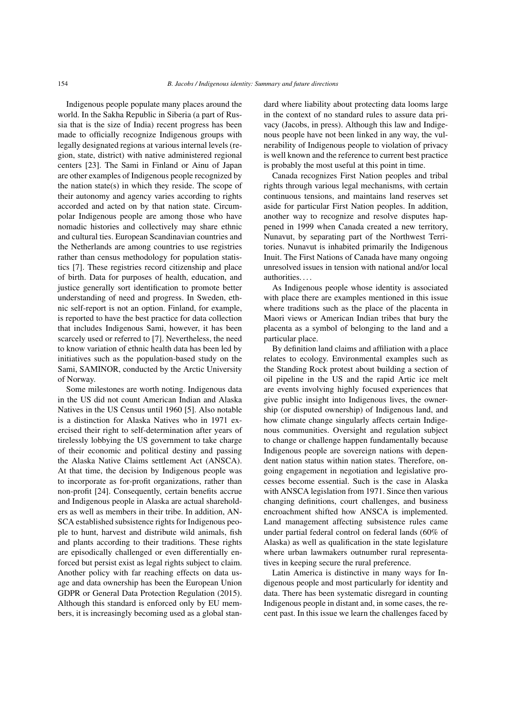Indigenous people populate many places around the world. In the Sakha Republic in Siberia (a part of Russia that is the size of India) recent progress has been made to officially recognize Indigenous groups with legally designated regions at various internal levels (region, state, district) with native administered regional centers [\[23\]](#page-10-16). The Sami in Finland or Ainu of Japan are other examples of Indigenous people recognized by the nation state(s) in which they reside. The scope of their autonomy and agency varies according to rights accorded and acted on by that nation state. Circumpolar Indigenous people are among those who have nomadic histories and collectively may share ethnic and cultural ties. European Scandinavian countries and the Netherlands are among countries to use registries rather than census methodology for population statistics [\[7\]](#page-10-1). These registries record citizenship and place of birth. Data for purposes of health, education, and justice generally sort identification to promote better understanding of need and progress. In Sweden, ethnic self-report is not an option. Finland, for example, is reported to have the best practice for data collection that includes Indigenous Sami, however, it has been scarcely used or referred to [\[7\]](#page-10-1). Nevertheless, the need to know variation of ethnic health data has been led by initiatives such as the population-based study on the Sami, SAMINOR, conducted by the Arctic University of Norway.

Some milestones are worth noting. Indigenous data in the US did not count American Indian and Alaska Natives in the US Census until 1960 [\[5\]](#page-9-4). Also notable is a distinction for Alaska Natives who in 1971 exercised their right to self-determination after years of tirelessly lobbying the US government to take charge of their economic and political destiny and passing the Alaska Native Claims settlement Act (ANSCA). At that time, the decision by Indigenous people was to incorporate as for-profit organizations, rather than non-profit [\[24\]](#page-10-17). Consequently, certain benefits accrue and Indigenous people in Alaska are actual shareholders as well as members in their tribe. In addition, AN-SCA established subsistence rights for Indigenous people to hunt, harvest and distribute wild animals, fish and plants according to their traditions. These rights are episodically challenged or even differentially enforced but persist exist as legal rights subject to claim. Another policy with far reaching effects on data usage and data ownership has been the European Union GDPR or General Data Protection Regulation (2015). Although this standard is enforced only by EU members, it is increasingly becoming used as a global standard where liability about protecting data looms large in the context of no standard rules to assure data privacy (Jacobs, in press). Although this law and Indigenous people have not been linked in any way, the vulnerability of Indigenous people to violation of privacy is well known and the reference to current best practice is probably the most useful at this point in time.

Canada recognizes First Nation peoples and tribal rights through various legal mechanisms, with certain continuous tensions, and maintains land reserves set aside for particular First Nation peoples. In addition, another way to recognize and resolve disputes happened in 1999 when Canada created a new territory, Nunavut, by separating part of the Northwest Territories. Nunavut is inhabited primarily the Indigenous Inuit. The First Nations of Canada have many ongoing unresolved issues in tension with national and/or local authorities. . . .

As Indigenous people whose identity is associated with place there are examples mentioned in this issue where traditions such as the place of the placenta in Maori views or American Indian tribes that bury the placenta as a symbol of belonging to the land and a particular place.

By definition land claims and affiliation with a place relates to ecology. Environmental examples such as the Standing Rock protest about building a section of oil pipeline in the US and the rapid Artic ice melt are events involving highly focused experiences that give public insight into Indigenous lives, the ownership (or disputed ownership) of Indigenous land, and how climate change singularly affects certain Indigenous communities. Oversight and regulation subject to change or challenge happen fundamentally because Indigenous people are sovereign nations with dependent nation status within nation states. Therefore, ongoing engagement in negotiation and legislative processes become essential. Such is the case in Alaska with ANSCA legislation from 1971. Since then various changing definitions, court challenges, and business encroachment shifted how ANSCA is implemented. Land management affecting subsistence rules came under partial federal control on federal lands (60% of Alaska) as well as qualification in the state legislature where urban lawmakers outnumber rural representatives in keeping secure the rural preference.

Latin America is distinctive in many ways for Indigenous people and most particularly for identity and data. There has been systematic disregard in counting Indigenous people in distant and, in some cases, the recent past. In this issue we learn the challenges faced by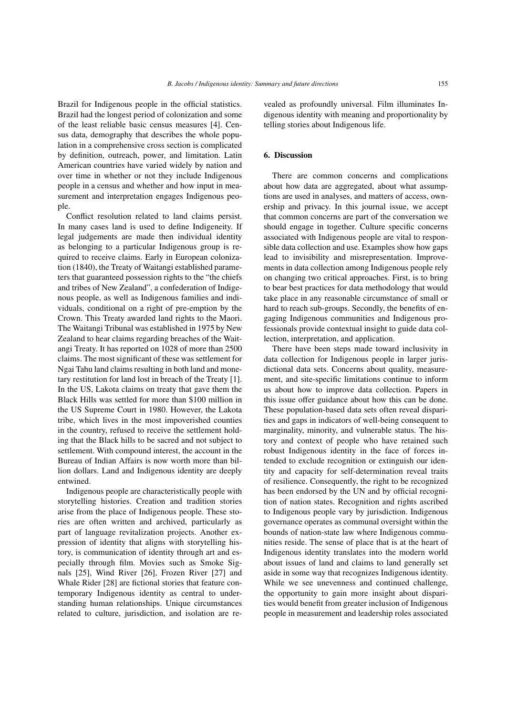Brazil for Indigenous people in the official statistics. Brazil had the longest period of colonization and some of the least reliable basic census measures [\[4\]](#page-9-3). Census data, demography that describes the whole population in a comprehensive cross section is complicated by definition, outreach, power, and limitation. Latin American countries have varied widely by nation and over time in whether or not they include Indigenous people in a census and whether and how input in measurement and interpretation engages Indigenous people.

Conflict resolution related to land claims persist. In many cases land is used to define Indigeneity. If legal judgements are made then individual identity as belonging to a particular Indigenous group is required to receive claims. Early in European colonization (1840), the Treaty of Waitangi established parameters that guaranteed possession rights to the "the chiefs and tribes of New Zealand", a confederation of Indigenous people, as well as Indigenous families and individuals, conditional on a right of pre-emption by the Crown. This Treaty awarded land rights to the Maori. The Waitangi Tribunal was established in 1975 by New Zealand to hear claims regarding breaches of the Waitangi Treaty. It has reported on 1028 of more than 2500 claims. The most significant of these was settlement for Ngai Tahu land claims resulting in both land and monetary restitution for land lost in breach of the Treaty [\[1\]](#page-9-0). In the US, Lakota claims on treaty that gave them the Black Hills was settled for more than \$100 million in the US Supreme Court in 1980. However, the Lakota tribe, which lives in the most impoverished counties in the country, refused to receive the settlement holding that the Black hills to be sacred and not subject to settlement. With compound interest, the account in the Bureau of Indian Affairs is now worth more than billion dollars. Land and Indigenous identity are deeply entwined.

Indigenous people are characteristically people with storytelling histories. Creation and tradition stories arise from the place of Indigenous people. These stories are often written and archived, particularly as part of language revitalization projects. Another expression of identity that aligns with storytelling history, is communication of identity through art and especially through film. Movies such as Smoke Signals [\[25\]](#page-10-18), Wind River [\[26\]](#page-10-19), Frozen River [\[27\]](#page-10-20) and Whale Rider [\[28\]](#page-10-21) are fictional stories that feature contemporary Indigenous identity as central to understanding human relationships. Unique circumstances related to culture, jurisdiction, and isolation are revealed as profoundly universal. Film illuminates Indigenous identity with meaning and proportionality by telling stories about Indigenous life.

# 6. Discussion

There are common concerns and complications about how data are aggregated, about what assumptions are used in analyses, and matters of access, ownership and privacy. In this journal issue, we accept that common concerns are part of the conversation we should engage in together. Culture specific concerns associated with Indigenous people are vital to responsible data collection and use. Examples show how gaps lead to invisibility and misrepresentation. Improvements in data collection among Indigenous people rely on changing two critical approaches. First, is to bring to bear best practices for data methodology that would take place in any reasonable circumstance of small or hard to reach sub-groups. Secondly, the benefits of engaging Indigenous communities and Indigenous professionals provide contextual insight to guide data collection, interpretation, and application.

There have been steps made toward inclusivity in data collection for Indigenous people in larger jurisdictional data sets. Concerns about quality, measurement, and site-specific limitations continue to inform us about how to improve data collection. Papers in this issue offer guidance about how this can be done. These population-based data sets often reveal disparities and gaps in indicators of well-being consequent to marginality, minority, and vulnerable status. The history and context of people who have retained such robust Indigenous identity in the face of forces intended to exclude recognition or extinguish our identity and capacity for self-determination reveal traits of resilience. Consequently, the right to be recognized has been endorsed by the UN and by official recognition of nation states. Recognition and rights ascribed to Indigenous people vary by jurisdiction. Indigenous governance operates as communal oversight within the bounds of nation-state law where Indigenous communities reside. The sense of place that is at the heart of Indigenous identity translates into the modern world about issues of land and claims to land generally set aside in some way that recognizes Indigenous identity. While we see unevenness and continued challenge, the opportunity to gain more insight about disparities would benefit from greater inclusion of Indigenous people in measurement and leadership roles associated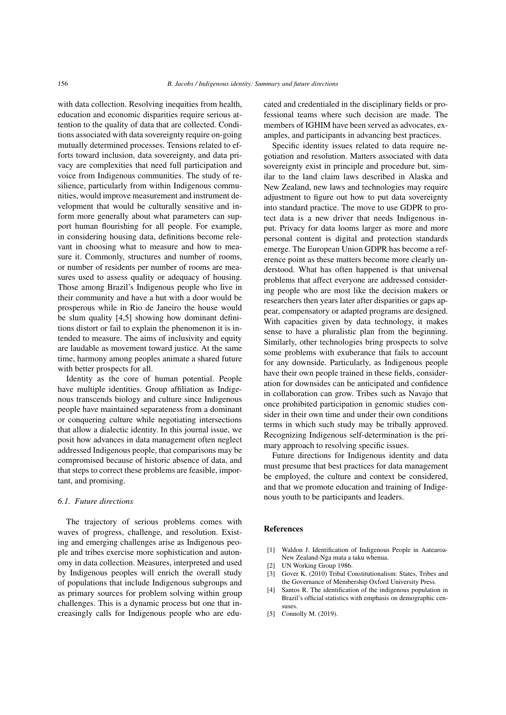with data collection. Resolving inequities from health, education and economic disparities require serious attention to the quality of data that are collected. Conditions associated with data sovereignty require on-going mutually determined processes. Tensions related to efforts toward inclusion, data sovereignty, and data privacy are complexities that need full participation and voice from Indigenous communities. The study of resilience, particularly from within Indigenous communities, would improve measurement and instrument development that would be culturally sensitive and inform more generally about what parameters can support human flourishing for all people. For example, in considering housing data, definitions become relevant in choosing what to measure and how to measure it. Commonly, structures and number of rooms, or number of residents per number of rooms are measures used to assess quality or adequacy of housing. Those among Brazil's Indigenous people who live in their community and have a hut with a door would be prosperous while in Rio de Janeiro the house would be slum quality [\[4](#page-9-3)[,5\]](#page-9-4) showing how dominant definitions distort or fail to explain the phenomenon it is intended to measure. The aims of inclusivity and equity are laudable as movement toward justice. At the same time, harmony among peoples animate a shared future with better prospects for all.

Identity as the core of human potential. People have multiple identities. Group affiliation as Indigenous transcends biology and culture since Indigenous people have maintained separateness from a dominant or conquering culture while negotiating intersections that allow a dialectic identity. In this journal issue, we posit how advances in data management often neglect addressed Indigenous people, that comparisons may be compromised because of historic absence of data, and that steps to correct these problems are feasible, important, and promising.

## *6.1. Future directions*

The trajectory of serious problems comes with waves of progress, challenge, and resolution. Existing and emerging challenges arise as Indigenous people and tribes exercise more sophistication and autonomy in data collection. Measures, interpreted and used by Indigenous peoples will enrich the overall study of populations that include Indigenous subgroups and as primary sources for problem solving within group challenges. This is a dynamic process but one that increasingly calls for Indigenous people who are educated and credentialed in the disciplinary fields or professional teams where such decision are made. The members of IGHIM have been served as advocates, examples, and participants in advancing best practices.

Specific identity issues related to data require negotiation and resolution. Matters associated with data sovereignty exist in principle and procedure but, similar to the land claim laws described in Alaska and New Zealand, new laws and technologies may require adjustment to figure out how to put data sovereignty into standard practice. The move to use GDPR to protect data is a new driver that needs Indigenous input. Privacy for data looms larger as more and more personal content is digital and protection standards emerge. The European Union GDPR has become a reference point as these matters become more clearly understood. What has often happened is that universal problems that affect everyone are addressed considering people who are most like the decision makers or researchers then years later after disparities or gaps appear, compensatory or adapted programs are designed. With capacities given by data technology, it makes sense to have a pluralistic plan from the beginning. Similarly, other technologies bring prospects to solve some problems with exuberance that fails to account for any downside. Particularly, as Indigenous people have their own people trained in these fields, consideration for downsides can be anticipated and confidence in collaboration can grow. Tribes such as Navajo that once prohibited participation in genomic studies consider in their own time and under their own conditions terms in which such study may be tribally approved. Recognizing Indigenous self-determination is the primary approach to resolving specific issues.

Future directions for Indigenous identity and data must presume that best practices for data management be employed, the culture and context be considered, and that we promote education and training of Indigenous youth to be participants and leaders.

## References

- <span id="page-9-0"></span>[1] Waldon J. Identification of Indigenous People in Aatearoa-New Zealand-Nga mata a taku whenua.
- <span id="page-9-1"></span>[2] UN Working Group 1986.
- <span id="page-9-2"></span>[3] Gover K. (2010) Tribal Constitutionalism: States, Tribes and the Governance of Membership Oxford University Press.
- <span id="page-9-3"></span>[4] Santos R. The identification of the indigenous population in Brazil's official statistics with emphasis on demographic censuses.
- <span id="page-9-4"></span>[5] Connolly M. (2019).